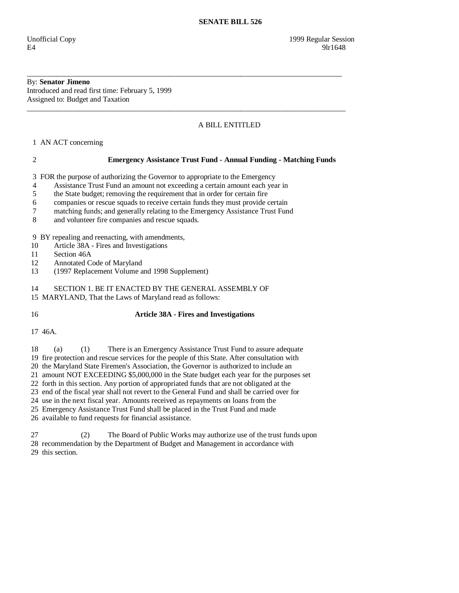# By: **Senator Jimeno**

Introduced and read first time: February 5, 1999 Assigned to: Budget and Taxation

## A BILL ENTITLED

1 AN ACT concerning

### 2 **Emergency Assistance Trust Fund - Annual Funding - Matching Funds**

3 FOR the purpose of authorizing the Governor to appropriate to the Emergency

4 Assistance Trust Fund an amount not exceeding a certain amount each year in

\_\_\_\_\_\_\_\_\_\_\_\_\_\_\_\_\_\_\_\_\_\_\_\_\_\_\_\_\_\_\_\_\_\_\_\_\_\_\_\_\_\_\_\_\_\_\_\_\_\_\_\_\_\_\_\_\_\_\_\_\_\_\_\_\_\_\_\_\_\_\_\_\_\_\_\_\_\_\_\_\_\_\_\_

\_\_\_\_\_\_\_\_\_\_\_\_\_\_\_\_\_\_\_\_\_\_\_\_\_\_\_\_\_\_\_\_\_\_\_\_\_\_\_\_\_\_\_\_\_\_\_\_\_\_\_\_\_\_\_\_\_\_\_\_\_\_\_\_\_\_\_\_\_\_\_\_\_\_\_\_\_\_\_\_\_\_\_\_\_

- 5 the State budget; removing the requirement that in order for certain fire
- 6 companies or rescue squads to receive certain funds they must provide certain
- 7 matching funds; and generally relating to the Emergency Assistance Trust Fund
- 8 and volunteer fire companies and rescue squads.

9 BY repealing and reenacting, with amendments,

- 10 Article 38A Fires and Investigations
- 11 Section 46A
- 12 Annotated Code of Maryland
- 13 (1997 Replacement Volume and 1998 Supplement)

14 SECTION 1. BE IT ENACTED BY THE GENERAL ASSEMBLY OF

15 MARYLAND, That the Laws of Maryland read as follows:

### 16 **Article 38A - Fires and Investigations**

17 46A.

18 (a) (1) There is an Emergency Assistance Trust Fund to assure adequate

19 fire protection and rescue services for the people of this State. After consultation with

20 the Maryland State Firemen's Association, the Governor is authorized to include an

21 amount NOT EXCEEDING \$5,000,000 in the State budget each year for the purposes set

22 forth in this section. Any portion of appropriated funds that are not obligated at the

 23 end of the fiscal year shall not revert to the General Fund and shall be carried over for 24 use in the next fiscal year. Amounts received as repayments on loans from the

25 Emergency Assistance Trust Fund shall be placed in the Trust Fund and made

26 available to fund requests for financial assistance.

 27 (2) The Board of Public Works may authorize use of the trust funds upon 28 recommendation by the Department of Budget and Management in accordance with

29 this section.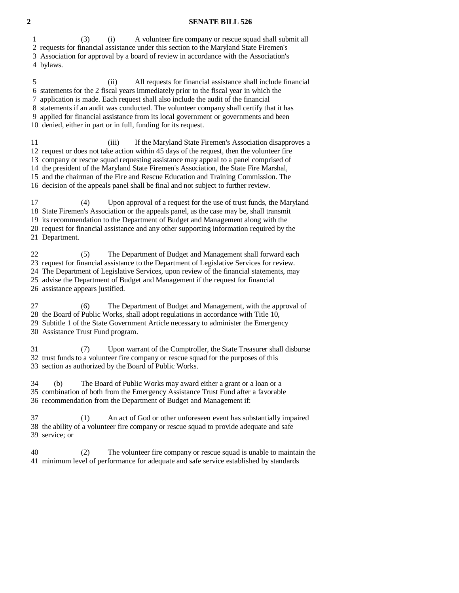### **2 SENATE BILL 526**

 1 (3) (i) A volunteer fire company or rescue squad shall submit all 2 requests for financial assistance under this section to the Maryland State Firemen's 3 Association for approval by a board of review in accordance with the Association's 4 bylaws.

 5 (ii) All requests for financial assistance shall include financial 6 statements for the 2 fiscal years immediately prior to the fiscal year in which the 7 application is made. Each request shall also include the audit of the financial 8 statements if an audit was conducted. The volunteer company shall certify that it has 9 applied for financial assistance from its local government or governments and been 10 denied, either in part or in full, funding for its request.

 11 (iii) If the Maryland State Firemen's Association disapproves a 12 request or does not take action within 45 days of the request, then the volunteer fire 13 company or rescue squad requesting assistance may appeal to a panel comprised of 14 the president of the Maryland State Firemen's Association, the State Fire Marshal, 15 and the chairman of the Fire and Rescue Education and Training Commission. The 16 decision of the appeals panel shall be final and not subject to further review.

 17 (4) Upon approval of a request for the use of trust funds, the Maryland 18 State Firemen's Association or the appeals panel, as the case may be, shall transmit 19 its recommendation to the Department of Budget and Management along with the 20 request for financial assistance and any other supporting information required by the 21 Department.

 22 (5) The Department of Budget and Management shall forward each 23 request for financial assistance to the Department of Legislative Services for review. 24 The Department of Legislative Services, upon review of the financial statements, may 25 advise the Department of Budget and Management if the request for financial 26 assistance appears justified.

 27 (6) The Department of Budget and Management, with the approval of 28 the Board of Public Works, shall adopt regulations in accordance with Title 10, 29 Subtitle 1 of the State Government Article necessary to administer the Emergency 30 Assistance Trust Fund program.

 31 (7) Upon warrant of the Comptroller, the State Treasurer shall disburse 32 trust funds to a volunteer fire company or rescue squad for the purposes of this 33 section as authorized by the Board of Public Works.

 34 (b) The Board of Public Works may award either a grant or a loan or a 35 combination of both from the Emergency Assistance Trust Fund after a favorable 36 recommendation from the Department of Budget and Management if:

 37 (1) An act of God or other unforeseen event has substantially impaired 38 the ability of a volunteer fire company or rescue squad to provide adequate and safe 39 service; or

 40 (2) The volunteer fire company or rescue squad is unable to maintain the 41 minimum level of performance for adequate and safe service established by standards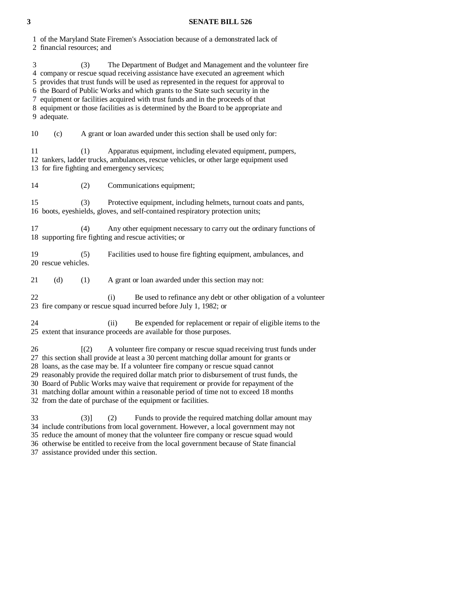### **3 SENATE BILL 526**

 1 of the Maryland State Firemen's Association because of a demonstrated lack of 2 financial resources; and

3 (3) The Department of Budget and Management and the volunteer fire

4 company or rescue squad receiving assistance have executed an agreement which

5 provides that trust funds will be used as represented in the request for approval to

6 the Board of Public Works and which grants to the State such security in the

 7 equipment or facilities acquired with trust funds and in the proceeds of that 8 equipment or those facilities as is determined by the Board to be appropriate and

9 adequate.

10 (c) A grant or loan awarded under this section shall be used only for:

 11 (1) Apparatus equipment, including elevated equipment, pumpers, 12 tankers, ladder trucks, ambulances, rescue vehicles, or other large equipment used

13 for fire fighting and emergency services;

14 (2) Communications equipment;

 15 (3) Protective equipment, including helmets, turnout coats and pants, 16 boots, eyeshields, gloves, and self-contained respiratory protection units;

 17 (4) Any other equipment necessary to carry out the ordinary functions of 18 supporting fire fighting and rescue activities; or

 19 (5) Facilities used to house fire fighting equipment, ambulances, and 20 rescue vehicles.

21 (d) (1) A grant or loan awarded under this section may not:

22 (i) Be used to refinance any debt or other obligation of a volunteer 23 fire company or rescue squad incurred before July 1, 1982; or

 24 (ii) Be expended for replacement or repair of eligible items to the 25 extent that insurance proceeds are available for those purposes.

 26 [(2) A volunteer fire company or rescue squad receiving trust funds under 27 this section shall provide at least a 30 percent matching dollar amount for grants or

28 loans, as the case may be. If a volunteer fire company or rescue squad cannot

29 reasonably provide the required dollar match prior to disbursement of trust funds, the

30 Board of Public Works may waive that requirement or provide for repayment of the

31 matching dollar amount within a reasonable period of time not to exceed 18 months

32 from the date of purchase of the equipment or facilities.

 33 (3)] (2) Funds to provide the required matching dollar amount may 34 include contributions from local government. However, a local government may not 35 reduce the amount of money that the volunteer fire company or rescue squad would 36 otherwise be entitled to receive from the local government because of State financial

37 assistance provided under this section.